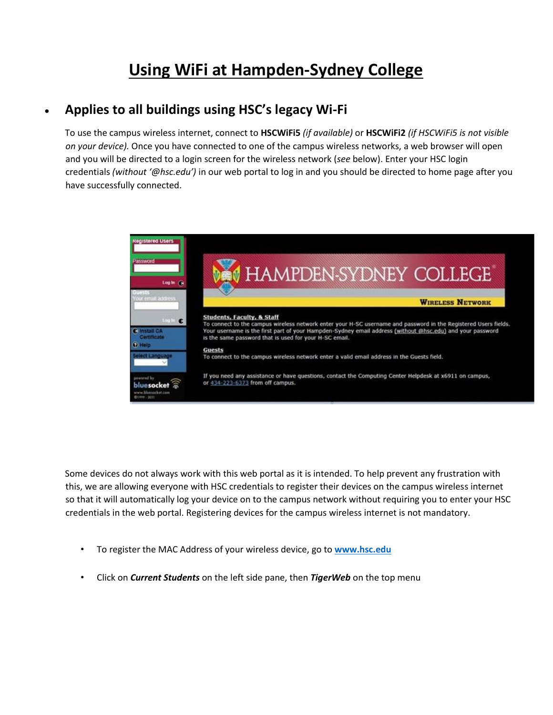## **Using WiFi at Hampden-Sydney College**

## • **Applies to all buildings using HSC's legacy Wi-Fi**

To use the campus wireless internet, connect to **HSCWiFi5** *(if available)* or **HSCWiFi2** *(if HSCWiFi5 is not visible on your device).* Once you have connected to one of the campus wireless networks, a web browser will open and you will be directed to a login screen for the wireless network (*see* below). Enter your HSC login credentials *(without '@hsc.edu')* in our web portal to log in and you should be directed to home page after you have successfully connected.



Some devices do not always work with this web portal as it is intended. To help prevent any frustration with this, we are allowing everyone with HSC credentials to register their devices on the campus wireless internet so that it will automatically log your device on to the campus network without requiring you to enter your HSC credentials in the web portal. Registering devices for the campus wireless internet is not mandatory.

- To register the MAC Address of your wireless device, go to **[www.hsc.edu](http://www.hsc.edu/)**
- Click on *Current Students* on the left side pane, then *TigerWeb* on the top menu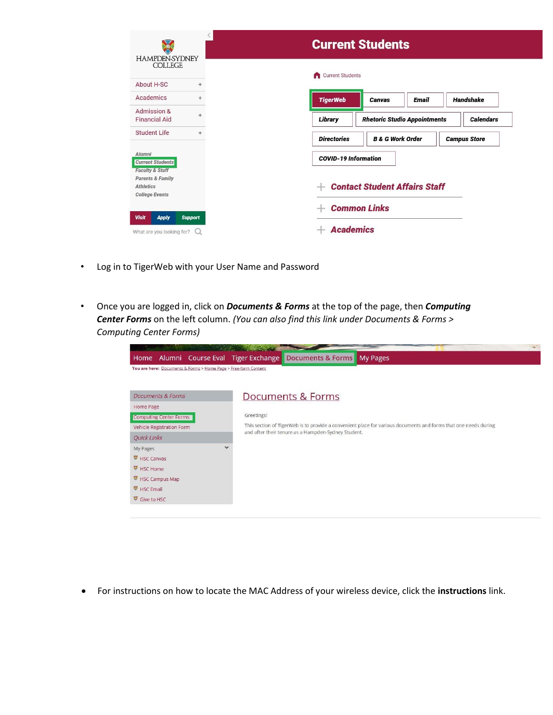| <b>HAMPDEN-SYDNEY</b><br><b>COLLEGE</b>                                     |     | <b>Current Students</b>                                                  |  |  |
|-----------------------------------------------------------------------------|-----|--------------------------------------------------------------------------|--|--|
| About H-SC                                                                  | $+$ | <b>Current Students</b><br>A                                             |  |  |
| Academics                                                                   | $+$ | <b>TigerWeb</b><br><b>Handshake</b><br><b>Email</b><br><b>Canvas</b>     |  |  |
| Admission &<br><b>Financial Aid</b>                                         | $+$ | Library<br><b>Rhetoric Studio Appointments</b><br><b>Calendars</b>       |  |  |
| Student Life                                                                | $+$ | <b>Directories</b><br><b>B &amp; G Work Order</b><br><b>Campus Store</b> |  |  |
| Alumni<br><b>Current Students</b><br><b>Faculty &amp; Staff</b>             |     | <b>COVID-19 Information</b>                                              |  |  |
| <b>Parents &amp; Family</b><br><b>Athletics</b><br><b>College Events</b>    |     | <b>Contact Student Affairs Staff</b>                                     |  |  |
|                                                                             |     | <b>Common Links</b>                                                      |  |  |
| <b>Visit</b><br><b>Apply</b><br><b>Support</b><br>What are you looking for? |     | <b>Academics</b>                                                         |  |  |

- Log in to TigerWeb with your User Name and Password
- Once you are logged in, click on *Documents & Forms* at the top of the page, then *Computing Center Forms* on the left column. *(You can also find this link under Documents & Forms > Computing Center Forms)*

|                                                                 |                          | Var.                                                                                                            |  |  |
|-----------------------------------------------------------------|--------------------------|-----------------------------------------------------------------------------------------------------------------|--|--|
| Home                                                            |                          | Alumni Course Eval Tiger Exchange Documents & Forms<br>My Pages                                                 |  |  |
| You are here: Documents & Forms > Home Page > Free-form Content |                          |                                                                                                                 |  |  |
|                                                                 |                          |                                                                                                                 |  |  |
| <b>Documents &amp; Forms</b>                                    |                          | Documents & Forms                                                                                               |  |  |
| Home Page                                                       |                          |                                                                                                                 |  |  |
| <b>Computing Center Forms</b>                                   |                          | Greetings!                                                                                                      |  |  |
| Vehicle Registration Form                                       |                          | This section of TigerWeb is to provide a convenient place for various documents and forms that one needs during |  |  |
| Quick Links                                                     |                          | and after their tenure as a Hampden-Sydney Student.                                                             |  |  |
| My Pages                                                        | $\overline{\phantom{a}}$ |                                                                                                                 |  |  |
| HSC Canvas                                                      |                          |                                                                                                                 |  |  |
| HSC Home                                                        |                          |                                                                                                                 |  |  |
| HSC Campus Map                                                  |                          |                                                                                                                 |  |  |
| HSC Email                                                       |                          |                                                                                                                 |  |  |
| Give to HSC                                                     |                          |                                                                                                                 |  |  |
|                                                                 |                          |                                                                                                                 |  |  |

• For instructions on how to locate the MAC Address of your wireless device, click the **instructions** link.